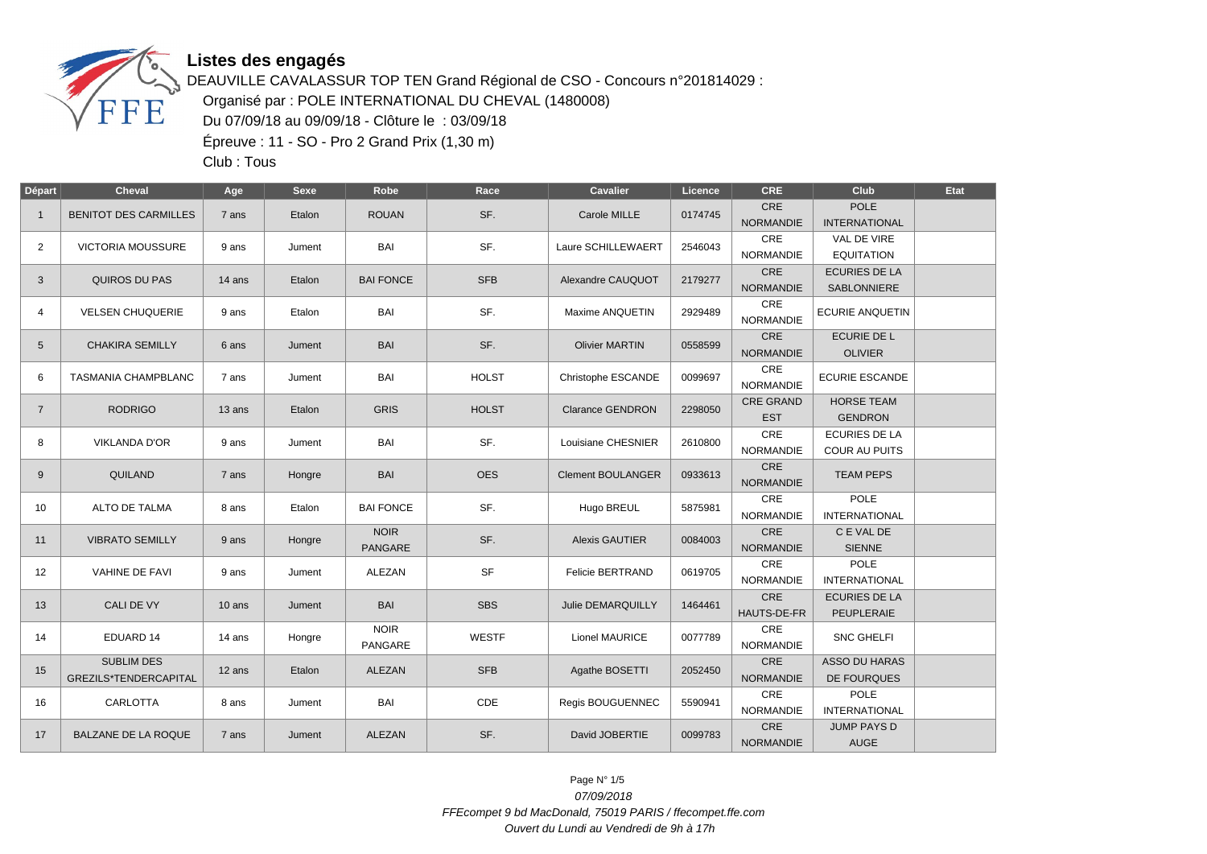

DEAUVILLE CAVALASSUR TOP TEN Grand Régional de CSO - Concours n°201814029 : Organisé par : POLE INTERNATIONAL DU CHEVAL (1480008) Du 07/09/18 au 09/09/18 - Clôture le : 03/09/18 Épreuve : 11 - SO - Pro 2 Grand Prix (1,30 m)

Club : Tous

| Départ         | <b>Cheval</b>                                     | Age      | <b>Sexe</b> | Robe                          | Race         | Cavalier                 | Licence | <b>CRE</b>                     | Club                                         | Etat |
|----------------|---------------------------------------------------|----------|-------------|-------------------------------|--------------|--------------------------|---------|--------------------------------|----------------------------------------------|------|
| $\mathbf{1}$   | <b>BENITOT DES CARMILLES</b>                      | 7 ans    | Etalon      | <b>ROUAN</b>                  | SF.          | Carole MILLE             | 0174745 | CRE<br><b>NORMANDIE</b>        | <b>POLE</b><br><b>INTERNATIONAL</b>          |      |
| $\overline{2}$ | <b>VICTORIA MOUSSURE</b>                          | 9 ans    | Jument      | BAI                           | SF.          | Laure SCHILLEWAERT       | 2546043 | CRE<br><b>NORMANDIE</b>        | VAL DE VIRE<br><b>EQUITATION</b>             |      |
| 3              | QUIROS DU PAS                                     | 14 ans   | Etalon      | <b>BAI FONCE</b>              | <b>SFB</b>   | Alexandre CAUQUOT        | 2179277 | CRE<br><b>NORMANDIE</b>        | <b>ECURIES DE LA</b><br>SABLONNIERE          |      |
| 4              | <b>VELSEN CHUQUERIE</b>                           | 9 ans    | Etalon      | BAI                           | SF.          | Maxime ANQUETIN          | 2929489 | CRE<br><b>NORMANDIE</b>        | <b>ECURIE ANQUETIN</b>                       |      |
| 5              | <b>CHAKIRA SEMILLY</b>                            | 6 ans    | Jument      | <b>BAI</b>                    | SF.          | <b>Olivier MARTIN</b>    | 0558599 | CRE<br><b>NORMANDIE</b>        | <b>ECURIE DE L</b><br><b>OLIVIER</b>         |      |
| 6              | TASMANIA CHAMPBLANC                               | 7 ans    | Jument      | BAI                           | <b>HOLST</b> | Christophe ESCANDE       | 0099697 | CRE<br><b>NORMANDIE</b>        | <b>ECURIE ESCANDE</b>                        |      |
| $\overline{7}$ | <b>RODRIGO</b>                                    | 13 ans   | Etalon      | <b>GRIS</b>                   | <b>HOLST</b> | <b>Clarance GENDRON</b>  | 2298050 | <b>CRE GRAND</b><br><b>EST</b> | <b>HORSE TEAM</b><br><b>GENDRON</b>          |      |
| 8              | <b>VIKLANDA D'OR</b>                              | 9 ans    | Jument      | <b>BAI</b>                    | SF.          | Louisiane CHESNIER       | 2610800 | CRE<br>NORMANDIE               | <b>ECURIES DE LA</b><br><b>COUR AU PUITS</b> |      |
| 9              | QUILAND                                           | 7 ans    | Hongre      | <b>BAI</b>                    | <b>OES</b>   | <b>Clement BOULANGER</b> | 0933613 | <b>CRE</b><br><b>NORMANDIE</b> | <b>TEAM PEPS</b>                             |      |
| 10             | <b>ALTO DE TALMA</b>                              | 8 ans    | Etalon      | <b>BAI FONCE</b>              | SF.          | Hugo BREUL               | 5875981 | CRE<br><b>NORMANDIE</b>        | <b>POLE</b><br><b>INTERNATIONAL</b>          |      |
| 11             | <b>VIBRATO SEMILLY</b>                            | 9 ans    | Hongre      | <b>NOIR</b><br>PANGARE        | SF.          | <b>Alexis GAUTIER</b>    | 0084003 | <b>CRE</b><br><b>NORMANDIE</b> | C E VAL DE<br><b>SIENNE</b>                  |      |
| 12             | <b>VAHINE DE FAVI</b>                             | 9 ans    | Jument      | <b>ALEZAN</b>                 | <b>SF</b>    | <b>Felicie BERTRAND</b>  | 0619705 | CRE<br><b>NORMANDIE</b>        | <b>POLE</b><br><b>INTERNATIONAL</b>          |      |
| 13             | <b>CALI DE VY</b>                                 | $10$ ans | Jument      | <b>BAI</b>                    | <b>SBS</b>   | <b>Julie DEMARQUILLY</b> | 1464461 | <b>CRE</b><br>HAUTS-DE-FR      | <b>ECURIES DE LA</b><br>PEUPLERAIE           |      |
| 14             | EDUARD 14                                         | 14 ans   | Hongre      | <b>NOIR</b><br><b>PANGARE</b> | <b>WESTF</b> | Lionel MAURICE           | 0077789 | CRE<br><b>NORMANDIE</b>        | <b>SNC GHELFI</b>                            |      |
| 15             | <b>SUBLIM DES</b><br><b>GREZILS*TENDERCAPITAL</b> | 12 ans   | Etalon      | ALEZAN                        | <b>SFB</b>   | Agathe BOSETTI           | 2052450 | <b>CRE</b><br><b>NORMANDIE</b> | <b>ASSO DU HARAS</b><br><b>DE FOURQUES</b>   |      |
| 16             | CARLOTTA                                          | 8 ans    | Jument      | BAI                           | CDE          | Regis BOUGUENNEC         | 5590941 | CRE<br><b>NORMANDIE</b>        | <b>POLE</b><br><b>INTERNATIONAL</b>          |      |
| 17             | BALZANE DE LA ROQUE                               | 7 ans    | Jument      | ALEZAN                        | SF.          | David JOBERTIE           | 0099783 | CRE<br><b>NORMANDIE</b>        | <b>JUMP PAYS D</b><br><b>AUGE</b>            |      |

Page N° 1/5 07/09/2018 FFEcompet 9 bd MacDonald, 75019 PARIS / ffecompet.ffe.com Ouvert du Lundi au Vendredi de 9h à 17h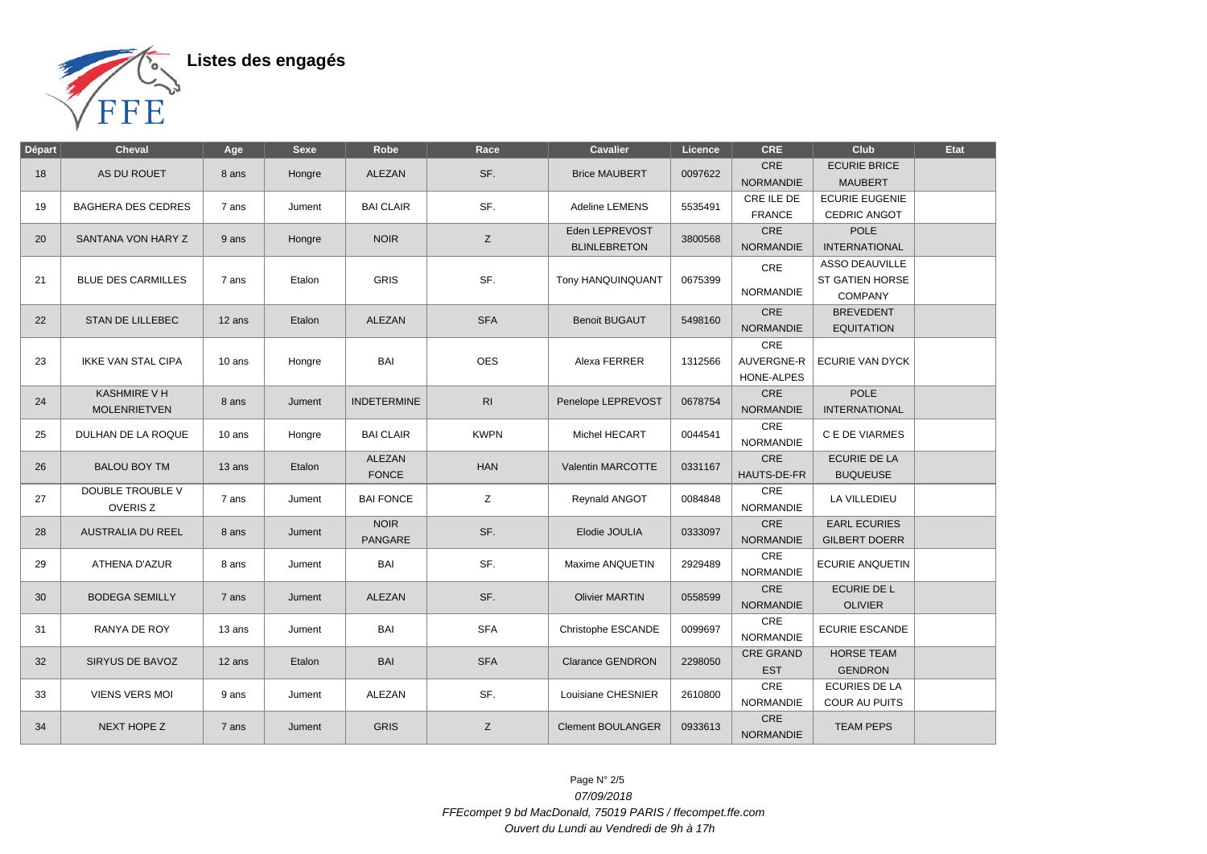

| Départ | <b>Cheval</b>                              | Age      | <b>Sexe</b> | Robe                   | Race           | Cavalier                              | Licence | <b>CRE</b>                                    | <b>Club</b>                                                       | <b>Etat</b> |
|--------|--------------------------------------------|----------|-------------|------------------------|----------------|---------------------------------------|---------|-----------------------------------------------|-------------------------------------------------------------------|-------------|
| 18     | AS DU ROUET                                | 8 ans    | Hongre      | ALEZAN                 | SF.            | <b>Brice MAUBERT</b>                  | 0097622 | CRE<br><b>NORMANDIE</b>                       | <b>ECURIE BRICE</b><br><b>MAUBERT</b>                             |             |
| 19     | <b>BAGHERA DES CEDRES</b>                  | 7 ans    | Jument      | <b>BAI CLAIR</b>       | SF.            | Adeline LEMENS                        | 5535491 | CRE ILE DE<br><b>FRANCE</b>                   | <b>ECURIE EUGENIE</b><br>CEDRIC ANGOT                             |             |
| 20     | SANTANA VON HARY Z                         | 9 ans    | Hongre      | <b>NOIR</b>            | Z              | Eden LEPREVOST<br><b>BLINLEBRETON</b> | 3800568 | <b>CRE</b><br><b>NORMANDIE</b>                | <b>POLE</b><br><b>INTERNATIONAL</b>                               |             |
| 21     | <b>BLUE DES CARMILLES</b>                  | 7 ans    | Etalon      | <b>GRIS</b>            | SF.            | Tony HANQUINQUANT                     | 0675399 | CRE<br><b>NORMANDIE</b>                       | <b>ASSO DEAUVILLE</b><br><b>ST GATIEN HORSE</b><br><b>COMPANY</b> |             |
| 22     | <b>STAN DE LILLEBEC</b>                    | 12 ans   | Etalon      | <b>ALEZAN</b>          | <b>SFA</b>     | <b>Benoit BUGAUT</b>                  | 5498160 | <b>CRE</b><br><b>NORMANDIE</b>                | <b>BREVEDENT</b><br><b>EQUITATION</b>                             |             |
| 23     | <b>IKKE VAN STAL CIPA</b>                  | $10$ ans | Hongre      | <b>BAI</b>             | <b>OES</b>     | Alexa FERRER                          | 1312566 | CRE<br><b>AUVERGNE-R</b><br><b>HONE-ALPES</b> | ECURIE VAN DYCK                                                   |             |
| 24     | <b>KASHMIRE V H</b><br><b>MOLENRIETVEN</b> | 8 ans    | Jument      | <b>INDETERMINE</b>     | R <sub>l</sub> | Penelope LEPREVOST                    | 0678754 | CRE<br><b>NORMANDIE</b>                       | <b>POLE</b><br><b>INTERNATIONAL</b>                               |             |
| 25     | DULHAN DE LA ROQUE                         | 10 ans   | Hongre      | <b>BAI CLAIR</b>       | <b>KWPN</b>    | Michel HECART                         | 0044541 | CRE<br><b>NORMANDIE</b>                       | C E DE VIARMES                                                    |             |
| 26     | <b>BALOU BOY TM</b>                        | 13 ans   | Etalon      | ALEZAN<br><b>FONCE</b> | <b>HAN</b>     | <b>Valentin MARCOTTE</b>              | 0331167 | <b>CRE</b><br>HAUTS-DE-FR                     | <b>ECURIE DE LA</b><br><b>BUQUEUSE</b>                            |             |
| 27     | <b>DOUBLE TROUBLE V</b><br><b>OVERISZ</b>  | 7 ans    | Jument      | <b>BAI FONCE</b>       | Z              | <b>Reynald ANGOT</b>                  | 0084848 | CRE<br><b>NORMANDIE</b>                       | LA VILLEDIEU                                                      |             |
| 28     | <b>AUSTRALIA DU REEL</b>                   | 8 ans    | Jument      | <b>NOIR</b><br>PANGARE | SF.            | Elodie JOULIA                         | 0333097 | CRE<br><b>NORMANDIE</b>                       | <b>EARL ECURIES</b><br><b>GILBERT DOERR</b>                       |             |
| 29     | ATHENA D'AZUR                              | 8 ans    | Jument      | BAI                    | SF.            | Maxime ANQUETIN                       | 2929489 | CRE<br><b>NORMANDIE</b>                       | <b>ECURIE ANQUETIN</b>                                            |             |
| 30     | <b>BODEGA SEMILLY</b>                      | 7 ans    | Jument      | <b>ALEZAN</b>          | SF.            | <b>Olivier MARTIN</b>                 | 0558599 | <b>CRE</b><br><b>NORMANDIE</b>                | <b>ECURIE DE L</b><br><b>OLIVIER</b>                              |             |
| 31     | RANYA DE ROY                               | 13 ans   | Jument      | <b>BAI</b>             | <b>SFA</b>     | Christophe ESCANDE                    | 0099697 | CRE<br><b>NORMANDIE</b>                       | ECURIE ESCANDE                                                    |             |
| 32     | SIRYUS DE BAVOZ                            | 12 ans   | Etalon      | BAI                    | <b>SFA</b>     | <b>Clarance GENDRON</b>               | 2298050 | <b>CRE GRAND</b><br><b>EST</b>                | <b>HORSE TEAM</b><br><b>GENDRON</b>                               |             |
| 33     | <b>VIENS VERS MOI</b>                      | 9 ans    | Jument      | ALEZAN                 | SF.            | Louisiane CHESNIER                    | 2610800 | CRE<br><b>NORMANDIE</b>                       | <b>ECURIES DE LA</b><br><b>COUR AU PUITS</b>                      |             |
| 34     | NEXT HOPE Z                                | 7 ans    | Jument      | <b>GRIS</b>            | Z              | <b>Clement BOULANGER</b>              | 0933613 | <b>CRE</b><br><b>NORMANDIE</b>                | <b>TEAM PEPS</b>                                                  |             |

Page N° 2/5 07/09/2018 FFEcompet 9 bd MacDonald, 75019 PARIS / ffecompet.ffe.com Ouvert du Lundi au Vendredi de 9h à 17h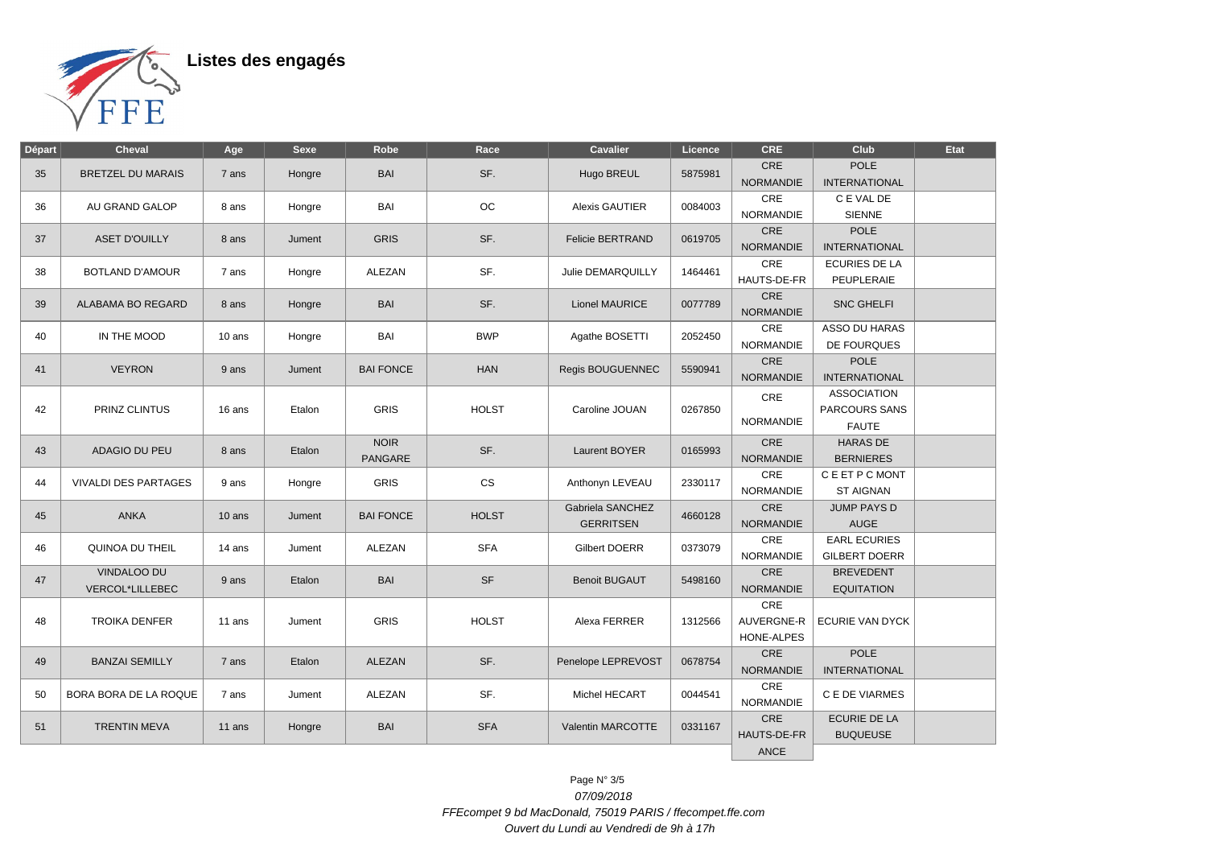

| Départ | Cheval                         | Age      | <b>Sexe</b> | Robe                   | Race         | Cavalier                             | Licence | CRE                             | Club                                                | <b>Etat</b> |
|--------|--------------------------------|----------|-------------|------------------------|--------------|--------------------------------------|---------|---------------------------------|-----------------------------------------------------|-------------|
| 35     | <b>BRETZEL DU MARAIS</b>       | 7 ans    | Hongre      | <b>BAI</b>             | SF.          | Hugo BREUL                           | 5875981 | <b>CRE</b><br><b>NORMANDIE</b>  | <b>POLE</b><br><b>INTERNATIONAL</b>                 |             |
| 36     | AU GRAND GALOP                 | 8 ans    | Hongre      | BAI                    | <b>OC</b>    | <b>Alexis GAUTIER</b>                | 0084003 | CRE<br><b>NORMANDIE</b>         | C E VAL DE<br><b>SIENNE</b>                         |             |
| 37     | <b>ASET D'OUILLY</b>           | 8 ans    | Jument      | <b>GRIS</b>            | SF.          | <b>Felicie BERTRAND</b>              | 0619705 | CRE<br><b>NORMANDIE</b>         | POLE<br><b>INTERNATIONAL</b>                        |             |
| 38     | <b>BOTLAND D'AMOUR</b>         | 7 ans    | Hongre      | ALEZAN                 | SF.          | Julie DEMARQUILLY                    | 1464461 | CRE<br>HAUTS-DE-FR              | <b>ECURIES DE LA</b><br>PEUPLERAIE                  |             |
| 39     | ALABAMA BO REGARD              | 8 ans    | Hongre      | <b>BAI</b>             | SF.          | Lionel MAURICE                       | 0077789 | CRE<br><b>NORMANDIE</b>         | <b>SNC GHELFI</b>                                   |             |
| 40     | IN THE MOOD                    | $10$ ans | Hongre      | BAI                    | <b>BWP</b>   | Agathe BOSETTI                       | 2052450 | CRE<br><b>NORMANDIE</b>         | ASSO DU HARAS<br>DE FOURQUES                        |             |
| 41     | <b>VEYRON</b>                  | 9 ans    | Jument      | <b>BAI FONCE</b>       | <b>HAN</b>   | <b>Regis BOUGUENNEC</b>              | 5590941 | <b>CRE</b><br><b>NORMANDIE</b>  | <b>POLE</b><br><b>INTERNATIONAL</b>                 |             |
| 42     | PRINZ CLINTUS                  | 16 ans   | Etalon      | <b>GRIS</b>            | <b>HOLST</b> | Caroline JOUAN                       | 0267850 | CRE<br><b>NORMANDIE</b>         | <b>ASSOCIATION</b><br>PARCOURS SANS<br><b>FAUTE</b> |             |
| 43     | <b>ADAGIO DU PEU</b>           | 8 ans    | Etalon      | <b>NOIR</b><br>PANGARE | SF.          | Laurent BOYER                        | 0165993 | CRE<br><b>NORMANDIE</b>         | <b>HARAS DE</b><br><b>BERNIERES</b>                 |             |
| 44     | <b>VIVALDI DES PARTAGES</b>    | 9 ans    | Hongre      | <b>GRIS</b>            | <b>CS</b>    | Anthonyn LEVEAU                      | 2330117 | CRE<br><b>NORMANDIE</b>         | C E ET P C MONT<br><b>ST AIGNAN</b>                 |             |
| 45     | <b>ANKA</b>                    | $10$ ans | Jument      | <b>BAI FONCE</b>       | <b>HOLST</b> | Gabriela SANCHEZ<br><b>GERRITSEN</b> | 4660128 | CRE<br><b>NORMANDIE</b>         | <b>JUMP PAYS D</b><br><b>AUGE</b>                   |             |
| 46     | QUINOA DU THEIL                | 14 ans   | Jument      | ALEZAN                 | <b>SFA</b>   | Gilbert DOERR                        | 0373079 | CRE<br><b>NORMANDIE</b>         | <b>EARL ECURIES</b><br><b>GILBERT DOERR</b>         |             |
| 47     | VINDALOO DU<br>VERCOL*LILLEBEC | 9 ans    | Etalon      | BAI                    | <b>SF</b>    | <b>Benoit BUGAUT</b>                 | 5498160 | CRE<br><b>NORMANDIE</b>         | <b>BREVEDENT</b><br><b>EQUITATION</b>               |             |
| 48     | <b>TROIKA DENFER</b>           | 11 ans   | Jument      | <b>GRIS</b>            | <b>HOLST</b> | Alexa FERRER                         | 1312566 | CRE<br>AUVERGNE-R<br>HONE-ALPES | ECURIE VAN DYCK                                     |             |
| 49     | <b>BANZAI SEMILLY</b>          | 7 ans    | Etalon      | <b>ALEZAN</b>          | SF.          | Penelope LEPREVOST                   | 0678754 | <b>CRE</b><br><b>NORMANDIE</b>  | <b>POLE</b><br><b>INTERNATIONAL</b>                 |             |
| 50     | BORA BORA DE LA ROQUE          | 7 ans    | Jument      | ALEZAN                 | SF.          | Michel HECART                        | 0044541 | <b>CRE</b><br><b>NORMANDIE</b>  | C E DE VIARMES                                      |             |
| 51     | <b>TRENTIN MEVA</b>            | 11 ans   | Hongre      | BAI                    | <b>SFA</b>   | Valentin MARCOTTE                    | 0331167 | CRE<br>HAUTS-DE-FR              | <b>ECURIE DE LA</b><br><b>BUQUEUSE</b>              |             |
|        |                                |          |             |                        |              |                                      |         | <b>ANCE</b>                     |                                                     |             |

Page N° 3/5 07/09/2018 FFEcompet 9 bd MacDonald, 75019 PARIS / ffecompet.ffe.com Ouvert du Lundi au Vendredi de 9h à 17h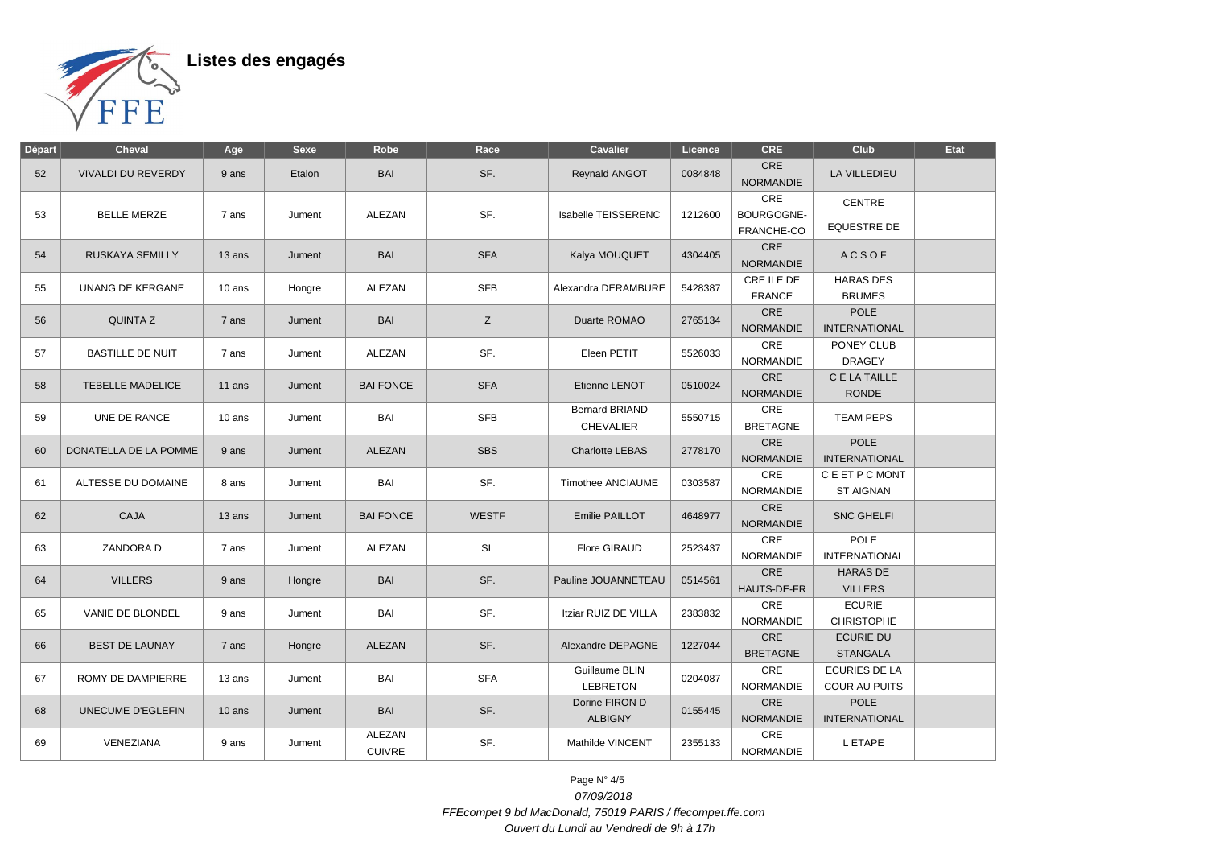

| Départ | <b>Cheval</b>             | Age      | <b>Sexe</b> | Robe                    | Race         | <b>Cavalier</b>                  | Licence | <b>CRE</b>                     | Club                               | <b>Etat</b> |
|--------|---------------------------|----------|-------------|-------------------------|--------------|----------------------------------|---------|--------------------------------|------------------------------------|-------------|
| 52     | <b>VIVALDI DU REVERDY</b> | 9 ans    | Etalon      | <b>BAI</b>              | SF.          | Reynald ANGOT                    | 0084848 | <b>CRE</b><br><b>NORMANDIE</b> | <b>LA VILLEDIEU</b>                |             |
|        | <b>BELLE MERZE</b>        |          |             | ALEZAN                  | SF.          |                                  |         | CRE                            | CENTRE                             |             |
| 53     |                           | 7 ans    | Jument      |                         |              | Isabelle TEISSERENC              | 1212600 | BOURGOGNE-                     | <b>EQUESTRE DE</b>                 |             |
|        |                           |          |             |                         |              |                                  |         | FRANCHE-CO<br>CRE              |                                    |             |
| 54     | RUSKAYA SEMILLY           | 13 ans   | Jument      | <b>BAI</b>              | <b>SFA</b>   | Kalya MOUQUET                    | 4304405 | <b>NORMANDIE</b>               | <b>ACSOF</b>                       |             |
| 55     | UNANG DE KERGANE          | 10 ans   | Hongre      | ALEZAN                  | <b>SFB</b>   | Alexandra DERAMBURE              | 5428387 | CRE ILE DE                     | <b>HARAS DES</b>                   |             |
|        |                           |          |             |                         |              |                                  |         | <b>FRANCE</b>                  | <b>BRUMES</b>                      |             |
| 56     | <b>QUINTAZ</b>            | 7 ans    | Jument      | <b>BAI</b>              | Z            | Duarte ROMAO                     | 2765134 | CRE                            | POLE                               |             |
|        |                           |          |             |                         |              |                                  |         | <b>NORMANDIE</b><br>CRE        | <b>INTERNATIONAL</b><br>PONEY CLUB |             |
| 57     | <b>BASTILLE DE NUIT</b>   | 7 ans    | Jument      | ALEZAN                  | SF.          | Eleen PETIT                      | 5526033 | <b>NORMANDIE</b>               | <b>DRAGEY</b>                      |             |
|        |                           |          |             |                         |              |                                  |         | CRE                            | C E LA TAILLE                      |             |
| 58     | <b>TEBELLE MADELICE</b>   | 11 ans   | Jument      | <b>BAI FONCE</b>        | <b>SFA</b>   | Etienne LENOT                    | 0510024 | <b>NORMANDIE</b>               | <b>RONDE</b>                       |             |
|        |                           |          |             |                         |              | <b>Bernard BRIAND</b>            |         | CRE                            |                                    |             |
| 59     | UNE DE RANCE              | 10 ans   | Jument      | BAI                     | <b>SFB</b>   | <b>CHEVALIER</b>                 | 5550715 | <b>BRETAGNE</b>                | <b>TEAM PEPS</b>                   |             |
| 60     | DONATELLA DE LA POMME     | 9 ans    | Jument      | <b>ALEZAN</b>           | <b>SBS</b>   | <b>Charlotte LEBAS</b>           | 2778170 | CRE                            | <b>POLE</b>                        |             |
|        |                           |          |             |                         |              |                                  |         | <b>NORMANDIE</b>               | <b>INTERNATIONAL</b>               |             |
| 61     | ALTESSE DU DOMAINE        | 8 ans    | Jument      | BAI                     | SF.          | <b>Timothee ANCIAUME</b>         | 0303587 | CRE                            | C E ET P C MONT                    |             |
|        |                           |          |             |                         |              |                                  |         | <b>NORMANDIE</b>               | <b>ST AIGNAN</b>                   |             |
| 62     | CAJA                      | 13 ans   | Jument      | <b>BAI FONCE</b>        | <b>WESTF</b> | Emilie PAILLOT                   | 4648977 | CRE<br><b>NORMANDIE</b>        | <b>SNC GHELFI</b>                  |             |
| 63     | ZANDORA D                 | 7 ans    | Jument      | <b>ALEZAN</b>           | SL           | Flore GIRAUD                     | 2523437 | CRE                            | <b>POLE</b>                        |             |
|        |                           |          |             |                         |              |                                  |         | <b>NORMANDIE</b>               | <b>INTERNATIONAL</b>               |             |
| 64     | <b>VILLERS</b>            | 9 ans    | Hongre      | <b>BAI</b>              | SF.          | Pauline JOUANNETEAU              | 0514561 | CRE                            | <b>HARAS DE</b>                    |             |
|        |                           |          |             |                         |              |                                  |         | HAUTS-DE-FR<br>CRE             | <b>VILLERS</b><br><b>ECURIE</b>    |             |
| 65     | VANIE DE BLONDEL          | 9 ans    | Jument      | BAI                     | SF.          | Itziar RUIZ DE VILLA             | 2383832 | <b>NORMANDIE</b>               | <b>CHRISTOPHE</b>                  |             |
|        |                           |          |             |                         |              |                                  |         | CRE                            | <b>ECURIE DU</b>                   |             |
| 66     | <b>BEST DE LAUNAY</b>     | 7 ans    | Hongre      | <b>ALEZAN</b>           | SF.          | Alexandre DEPAGNE                | 1227044 | <b>BRETAGNE</b>                | <b>STANGALA</b>                    |             |
|        |                           |          |             |                         |              | Guillaume BLIN                   |         | CRE                            | <b>ECURIES DE LA</b>               |             |
| 67     | ROMY DE DAMPIERRE         | 13 ans   | Jument      | BAI                     | <b>SFA</b>   | <b>LEBRETON</b>                  | 0204087 | <b>NORMANDIE</b>               | <b>COUR AU PUITS</b>               |             |
|        | UNECUME D'EGLEFIN         |          | <b>BAI</b>  |                         | SF.          | Dorine FIRON D<br><b>ALBIGNY</b> | 0155445 | CRE                            | <b>POLE</b>                        |             |
| 68     |                           | $10$ ans | Jument      |                         |              |                                  |         | <b>NORMANDIE</b>               | <b>INTERNATIONAL</b>               |             |
| 69     | VENEZIANA                 | 9 ans    | Jument      | ALEZAN<br><b>CUIVRE</b> | SF.          | Mathilde VINCENT                 | 2355133 | CRE<br>NORMANDIE               | L ETAPE                            |             |

Page N° 4/5 07/09/2018 FFEcompet 9 bd MacDonald, 75019 PARIS / ffecompet.ffe.com Ouvert du Lundi au Vendredi de 9h à 17h